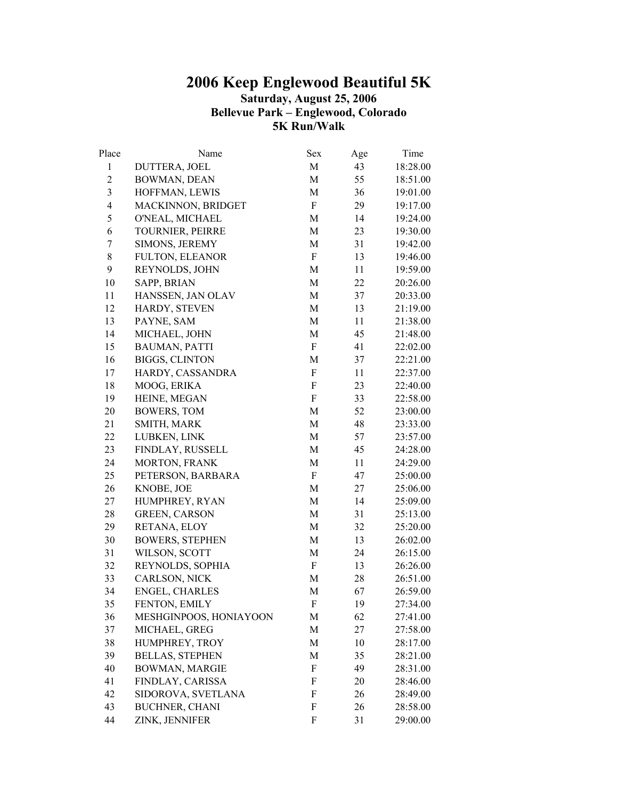## **2006 Keep Englewood Beautiful 5K Saturday, August 25, 2006 Bellevue Park – Englewood, Colorado 5K Run/Walk**

| Place          | Name                   | <b>Sex</b>                | Age | Time     |
|----------------|------------------------|---------------------------|-----|----------|
| $\mathbf{1}$   | DUTTERA, JOEL          | M                         | 43  | 18:28.00 |
| $\mathbf{2}$   | BOWMAN, DEAN           | M                         | 55  | 18:51.00 |
| $\mathfrak{Z}$ | HOFFMAN, LEWIS         | M                         | 36  | 19:01.00 |
| $\overline{4}$ | MACKINNON, BRIDGET     | F                         | 29  | 19:17.00 |
| 5              | O'NEAL, MICHAEL        | M                         | 14  | 19:24.00 |
| 6              | TOURNIER, PEIRRE       | M                         | 23  | 19:30.00 |
| 7              | SIMONS, JEREMY         | M                         | 31  | 19:42.00 |
| 8              | <b>FULTON, ELEANOR</b> | $\boldsymbol{F}$          | 13  | 19:46.00 |
| 9              | REYNOLDS, JOHN         | M                         | 11  | 19:59.00 |
| 10             | SAPP, BRIAN            | M                         | 22  | 20:26.00 |
| 11             | HANSSEN, JAN OLAV      | M                         | 37  | 20:33.00 |
| 12             | HARDY, STEVEN          | M                         | 13  | 21:19.00 |
| 13             | PAYNE, SAM             | M                         | 11  | 21:38.00 |
| 14             | MICHAEL, JOHN          | M                         | 45  | 21:48.00 |
| 15             | <b>BAUMAN, PATTI</b>   | $\boldsymbol{F}$          | 41  | 22:02.00 |
| 16             | <b>BIGGS, CLINTON</b>  | M                         | 37  | 22:21.00 |
| 17             | HARDY, CASSANDRA       | $\boldsymbol{F}$          | 11  | 22:37.00 |
| 18             | MOOG, ERIKA            | $\boldsymbol{F}$          | 23  | 22:40.00 |
| 19             | HEINE, MEGAN           | $\boldsymbol{F}$          | 33  | 22:58.00 |
| 20             | <b>BOWERS, TOM</b>     | M                         | 52  | 23:00.00 |
| 21             | SMITH, MARK            | M                         | 48  | 23:33.00 |
| 22             | LUBKEN, LINK           | M                         | 57  | 23:57.00 |
| 23             | FINDLAY, RUSSELL       | M                         | 45  | 24:28.00 |
| 24             | MORTON, FRANK          | M                         | 11  | 24:29.00 |
| 25             | PETERSON, BARBARA      | $\boldsymbol{\mathrm{F}}$ | 47  | 25:00.00 |
| 26             | KNOBE, JOE             | M                         | 27  | 25:06.00 |
| 27             | HUMPHREY, RYAN         | M                         | 14  | 25:09.00 |
| 28             | <b>GREEN, CARSON</b>   | M                         | 31  | 25:13.00 |
| 29             | RETANA, ELOY           | M                         | 32  | 25:20.00 |
| 30             | <b>BOWERS, STEPHEN</b> | M                         | 13  | 26:02.00 |
| 31             | WILSON, SCOTT          | M                         | 24  | 26:15.00 |
| 32             | REYNOLDS, SOPHIA       | F                         | 13  | 26:26.00 |
| 33             | CARLSON, NICK          | M                         | 28  | 26:51.00 |
| 34             | ENGEL, CHARLES         | М                         | 67  | 26:59.00 |
| 35             | FENTON, EMILY          | F                         | 19  | 27:34.00 |
| 36             | MESHGINPOOS, HONIAYOON | M                         | 62  | 27:41.00 |
| 37             | MICHAEL, GREG          | M                         | 27  | 27:58.00 |
| 38             | HUMPHREY, TROY         | M                         | 10  | 28:17.00 |
| 39             | <b>BELLAS, STEPHEN</b> | M                         | 35  | 28:21.00 |
| 40             | BOWMAN, MARGIE         | F                         | 49  | 28:31.00 |
| 41             | FINDLAY, CARISSA       | F                         | 20  | 28:46.00 |
| 42             | SIDOROVA, SVETLANA     | F                         | 26  | 28:49.00 |
| 43             | <b>BUCHNER, CHANI</b>  | F                         | 26  | 28:58.00 |
| 44             | ZINK, JENNIFER         | F                         | 31  | 29:00.00 |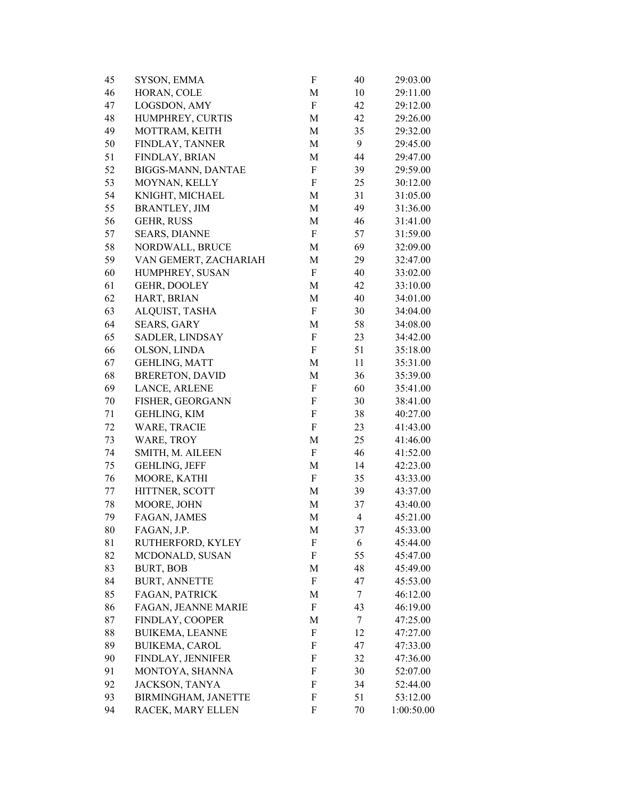| 45 | SYSON, EMMA            | F           | 40             | 29:03.00   |
|----|------------------------|-------------|----------------|------------|
| 46 | HORAN, COLE            | M           | 10             | 29:11.00   |
| 47 | LOGSDON, AMY           | F           | 42             | 29:12.00   |
| 48 | HUMPHREY, CURTIS       | M           | 42             | 29:26.00   |
| 49 | MOTTRAM, KEITH         | M           | 35             | 29:32.00   |
| 50 | FINDLAY, TANNER        | M           | 9              | 29:45.00   |
| 51 | FINDLAY, BRIAN         | M           | 44             | 29:47.00   |
| 52 | BIGGS-MANN, DANTAE     | F           | 39             | 29:59.00   |
| 53 | MOYNAN, KELLY          | F           | 25             | 30:12.00   |
| 54 | KNIGHT, MICHAEL        | M           | 31             | 31:05.00   |
| 55 | <b>BRANTLEY, JIM</b>   | $\mathbf M$ | 49             | 31:36.00   |
| 56 | <b>GEHR, RUSS</b>      | M           | 46             | 31:41.00   |
| 57 | <b>SEARS, DIANNE</b>   | F           | 57             | 31:59.00   |
| 58 | NORDWALL, BRUCE        | M           | 69             | 32:09.00   |
| 59 | VAN GEMERT, ZACHARIAH  | M           | 29             | 32:47.00   |
| 60 | HUMPHREY, SUSAN        | F           | 40             | 33:02.00   |
| 61 | GEHR, DOOLEY           | M           | 42             | 33:10.00   |
| 62 | HART, BRIAN            | M           | 40             | 34:01.00   |
| 63 | ALQUIST, TASHA         | F           | 30             | 34:04.00   |
| 64 | <b>SEARS, GARY</b>     | М           | 58             | 34:08.00   |
| 65 | SADLER, LINDSAY        | F           | 23             | 34:42.00   |
| 66 | OLSON, LINDA           | F           | 51             | 35:18.00   |
| 67 | <b>GEHLING, MATT</b>   | M           | 11             | 35:31.00   |
| 68 | <b>BRERETON, DAVID</b> | M           | 36             | 35:39.00   |
| 69 | LANCE, ARLENE          | F           | 60             | 35:41.00   |
| 70 | FISHER, GEORGANN       | F           | 30             | 38:41.00   |
| 71 | <b>GEHLING, KIM</b>    | F           | 38             | 40:27.00   |
| 72 | <b>WARE, TRACIE</b>    | F           | 23             | 41:43.00   |
| 73 | WARE, TROY             | M           | 25             | 41:46.00   |
| 74 | SMITH, M. AILEEN       | F           | 46             | 41:52.00   |
| 75 | <b>GEHLING, JEFF</b>   | M           | 14             | 42:23.00   |
| 76 | MOORE, KATHI           | F           | 35             | 43:33.00   |
| 77 | HITTNER, SCOTT         | M           | 39             | 43:37.00   |
| 78 | MOORE, JOHN            | M           | 37             | 43:40.00   |
| 79 | FAGAN, JAMES           | M           | $\overline{4}$ | 45:21.00   |
| 80 | FAGAN, J.P.            | М           | 37             | 45:33.00   |
| 81 | RUTHERFORD, KYLEY      | F           | 6              | 45:44.00   |
| 82 | MCDONALD, SUSAN        | F           | 55             | 45:47.00   |
| 83 | <b>BURT, BOB</b>       | M           | 48             | 45:49.00   |
| 84 | <b>BURT, ANNETTE</b>   | F           | 47             | 45:53.00   |
| 85 | FAGAN, PATRICK         | M           | 7              | 46:12.00   |
| 86 | FAGAN, JEANNE MARIE    | F           | 43             | 46:19.00   |
| 87 | FINDLAY, COOPER        | M           | 7              | 47:25.00   |
| 88 | <b>BUIKEMA, LEANNE</b> | F           | 12             | 47:27.00   |
| 89 |                        | F           | 47             | 47:33.00   |
|    | <b>BUIKEMA, CAROL</b>  |             |                |            |
| 90 | FINDLAY, JENNIFER      | F<br>F      | 32             | 47:36.00   |
| 91 | MONTOYA, SHANNA        |             | 30             | 52:07.00   |
| 92 | JACKSON, TANYA         | F           | 34             | 52:44.00   |
| 93 | BIRMINGHAM, JANETTE    | F           | 51             | 53:12.00   |
| 94 | RACEK, MARY ELLEN      | F           | 70             | 1:00:50.00 |